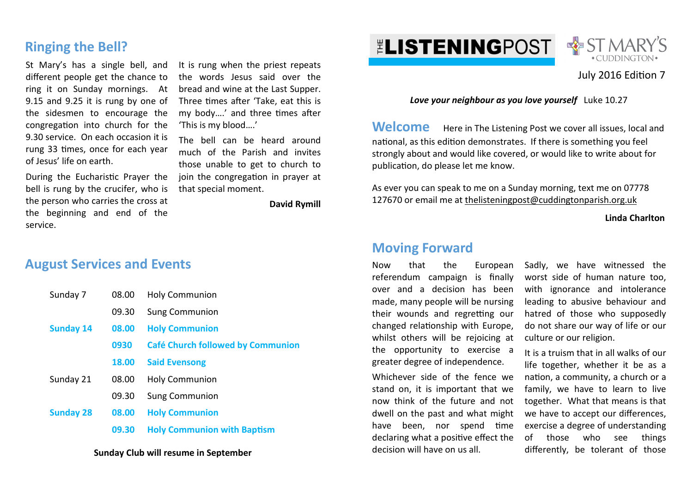# **Ringing the Bell?**

St Mary's has a single bell, and different people get the chance to ring it on Sunday mornings. At 9.15 and 9.25 it is rung by one of the sidesmen to encourage the congregation into church for the 9.30 service. On each occasion it is rung 33 times, once for each year of Jesus' life on earth.

During the Eucharistic Prayer the bell is rung by the crucifer, who is the person who carries the cross at the beginning and end of the service.

It is rung when the priest repeats the words Jesus said over the bread and wine at the Last Supper. Three times after 'Take, eat this is my body....' and three times after 'This is my blood….'

The bell can be heard around much of the Parish and invites those unable to get to church to join the congregation in prayer at that special moment.

**David Rymill**

# **August Services and Events**

| Sunday 7         | 08.00 | <b>Holy Communion</b>                    |
|------------------|-------|------------------------------------------|
|                  | 09.30 | <b>Sung Communion</b>                    |
| <b>Sunday 14</b> | 08.00 | <b>Holy Communion</b>                    |
|                  | 0930  | <b>Café Church followed by Communion</b> |
|                  | 18.00 | <b>Said Evensong</b>                     |
| Sunday 21        | 08.00 | <b>Holy Communion</b>                    |
|                  | 09.30 | <b>Sung Communion</b>                    |
| <b>Sunday 28</b> | 08.00 | <b>Holy Communion</b>                    |
|                  | 09.30 | <b>Holy Communion with Baptism</b>       |

### **Sunday Club will resume in September**

**ELISTENINGPOST** 



### July 2016 Edition 7

*Love your neighbour as you love yourself* Luke 10.27

**Welcome** Here in The Listening Post we cover all issues, local and national, as this edition demonstrates. If there is something you feel strongly about and would like covered, or would like to write about for publication, do please let me know.

As ever you can speak to me on a Sunday morning, text me on 07778 127670 or email me at thelisteningpost@cuddingtonparish.org.uk

**Linda Charlton** 

## **Moving Forward**

Now that the European referendum campaign is finally over and a decision has been made, many people will be nursing their wounds and regretting our changed relationship with Europe. whilst others will be rejoicing at the opportunity to exercise a greater degree of independence. Whichever side of the fence we stand on, it is important that we now think of the future and not

dwell on the past and what might have been, nor spend time declaring what a positive effect the

decision will have on us all.

Sadly, we have witnessed the worst side of human nature too, with ignorance and intolerance leading to abusive behaviour and hatred of those who supposedly do not share our way of life or our culture or our religion.

It is a truism that in all walks of our life together, whether it be as a nation, a community, a church or a family, we have to learn to live together. What that means is that we have to accept our differences, exercise a degree of understanding of those who see things differently, be tolerant of those